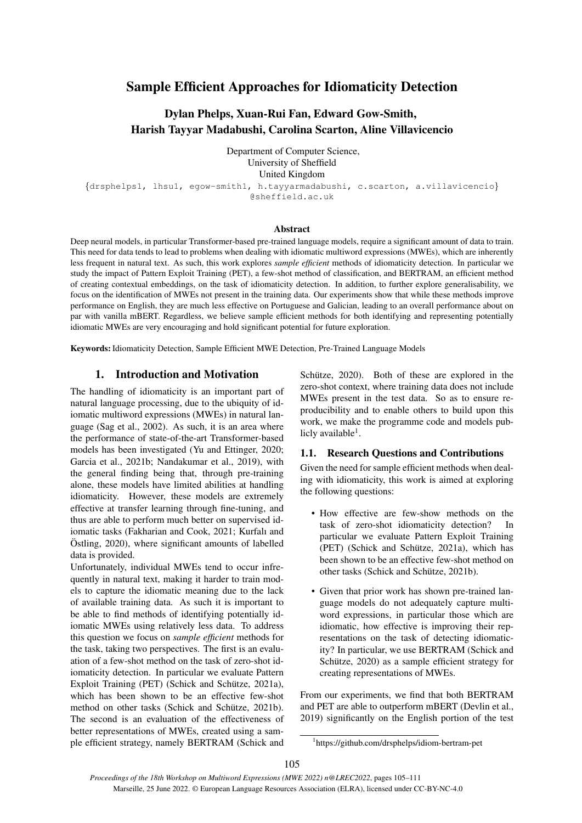# Sample Efficient Approaches for Idiomaticity Detection

## Dylan Phelps, Xuan-Rui Fan, Edward Gow-Smith, Harish Tayyar Madabushi, Carolina Scarton, Aline Villavicencio

Department of Computer Science, University of Sheffield United Kingdom {drsphelps1, lhsu1, egow-smith1, h.tayyarmadabushi, c.scarton, a.villavicencio} @sheffield.ac.uk

#### Abstract

Deep neural models, in particular Transformer-based pre-trained language models, require a significant amount of data to train. This need for data tends to lead to problems when dealing with idiomatic multiword expressions (MWEs), which are inherently less frequent in natural text. As such, this work explores *sample efficient* methods of idiomaticity detection. In particular we study the impact of Pattern Exploit Training (PET), a few-shot method of classification, and BERTRAM, an efficient method of creating contextual embeddings, on the task of idiomaticity detection. In addition, to further explore generalisability, we focus on the identification of MWEs not present in the training data. Our experiments show that while these methods improve performance on English, they are much less effective on Portuguese and Galician, leading to an overall performance about on par with vanilla mBERT. Regardless, we believe sample efficient methods for both identifying and representing potentially idiomatic MWEs are very encouraging and hold significant potential for future exploration.

Keywords: Idiomaticity Detection, Sample Efficient MWE Detection, Pre-Trained Language Models

## 1. Introduction and Motivation

The handling of idiomaticity is an important part of natural language processing, due to the ubiquity of idiomatic multiword expressions (MWEs) in natural language [\(Sag et al., 2002\)](#page-5-0). As such, it is an area where the performance of state-of-the-art Transformer-based models has been investigated [\(Yu and Ettinger, 2020;](#page-6-0) [Garcia et al., 2021b;](#page-5-1) [Nandakumar et al., 2019\)](#page-5-2), with the general finding being that, through pre-training alone, these models have limited abilities at handling idiomaticity. However, these models are extremely effective at transfer learning through fine-tuning, and thus are able to perform much better on supervised idiomatic tasks [\(Fakharian and Cook, 2021;](#page-5-3) [Kurfalı and](#page-5-4)  $Ostling, 2020$ , where significant amounts of labelled data is provided.

Unfortunately, individual MWEs tend to occur infrequently in natural text, making it harder to train models to capture the idiomatic meaning due to the lack of available training data. As such it is important to be able to find methods of identifying potentially idiomatic MWEs using relatively less data. To address this question we focus on *sample efficient* methods for the task, taking two perspectives. The first is an evaluation of a few-shot method on the task of zero-shot idiomaticity detection. In particular we evaluate Pattern Exploit Training (PET) (Schick and Schütze, 2021a), which has been shown to be an effective few-shot method on other tasks (Schick and Schütze, 2021b). The second is an evaluation of the effectiveness of better representations of MWEs, created using a sample efficient strategy, namely BERTRAM [\(Schick and](#page-5-7) Schütze, 2020). Both of these are explored in the zero-shot context, where training data does not include MWEs present in the test data. So as to ensure reproducibility and to enable others to build upon this work, we make the programme code and models pub-licly available<sup>[1](#page-0-0)</sup>.

## 1.1. Research Questions and Contributions

Given the need for sample efficient methods when dealing with idiomaticity, this work is aimed at exploring the following questions:

- How effective are few-show methods on the task of zero-shot idiomaticity detection? In particular we evaluate Pattern Exploit Training (PET) (Schick and Schütze, 2021a), which has been shown to be an effective few-shot method on other tasks (Schick and Schütze, 2021b).
- Given that prior work has shown pre-trained language models do not adequately capture multiword expressions, in particular those which are idiomatic, how effective is improving their representations on the task of detecting idiomaticity? In particular, we use BERTRAM [\(Schick and](#page-5-7) Schütze, 2020) as a sample efficient strategy for creating representations of MWEs.

From our experiments, we find that both BERTRAM and PET are able to outperform mBERT [\(Devlin et al.,](#page-5-8) [2019\)](#page-5-8) significantly on the English portion of the test

<span id="page-0-0"></span><sup>1</sup> <https://github.com/drsphelps/idiom-bertram-pet>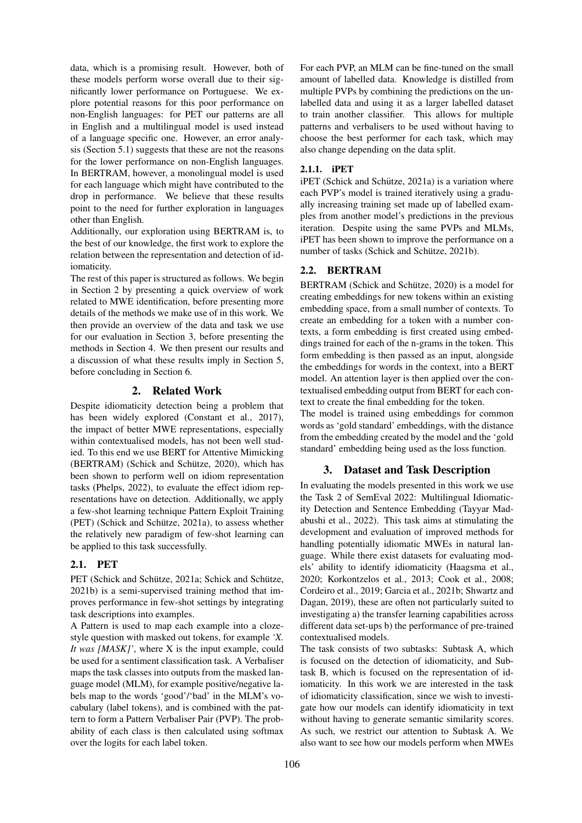data, which is a promising result. However, both of these models perform worse overall due to their significantly lower performance on Portuguese. We explore potential reasons for this poor performance on non-English languages: for PET our patterns are all in English and a multilingual model is used instead of a language specific one. However, an error analysis (Section [5.1\)](#page-4-0) suggests that these are not the reasons for the lower performance on non-English languages. In BERTRAM, however, a monolingual model is used for each language which might have contributed to the drop in performance. We believe that these results point to the need for further exploration in languages other than English.

Additionally, our exploration using BERTRAM is, to the best of our knowledge, the first work to explore the relation between the representation and detection of idiomaticity.

The rest of this paper is structured as follows. We begin in Section [2](#page-1-0) by presenting a quick overview of work related to MWE identification, before presenting more details of the methods we make use of in this work. We then provide an overview of the data and task we use for our evaluation in Section [3,](#page-1-1) before presenting the methods in Section [4.](#page-2-0) We then present our results and a discussion of what these results imply in Section [5,](#page-4-1) before concluding in Section [6.](#page-4-2)

## 2. Related Work

<span id="page-1-0"></span>Despite idiomaticity detection being a problem that has been widely explored [\(Constant et al., 2017\)](#page-5-9), the impact of better MWE representations, especially within contextualised models, has not been well studied. To this end we use BERT for Attentive Mimicking (BERTRAM) (Schick and Schütze, 2020), which has been shown to perform well on idiom representation tasks [\(Phelps, 2022\)](#page-5-10), to evaluate the effect idiom representations have on detection. Additionally, we apply a few-shot learning technique Pattern Exploit Training (PET) (Schick and Schütze, 2021a), to assess whether the relatively new paradigm of few-shot learning can be applied to this task successfully.

## 2.1. PET

PET (Schick and Schütze, 2021a; [Schick and Sch](#page-5-6)ütze, [2021b\)](#page-5-6) is a semi-supervised training method that improves performance in few-shot settings by integrating task descriptions into examples.

A Pattern is used to map each example into a clozestyle question with masked out tokens, for example *'X. It was [MASK]'*, where X is the input example, could be used for a sentiment classification task. A Verbaliser maps the task classes into outputs from the masked language model (MLM), for example positive/negative labels map to the words 'good'/'bad' in the MLM's vocabulary (label tokens), and is combined with the pattern to form a Pattern Verbaliser Pair (PVP). The probability of each class is then calculated using softmax over the logits for each label token.

For each PVP, an MLM can be fine-tuned on the small amount of labelled data. Knowledge is distilled from multiple PVPs by combining the predictions on the unlabelled data and using it as a larger labelled dataset to train another classifier. This allows for multiple patterns and verbalisers to be used without having to choose the best performer for each task, which may also change depending on the data split.

## 2.1.1. iPET

 $i$ PET (Schick and Schütze, 2021a) is a variation where each PVP's model is trained iteratively using a gradually increasing training set made up of labelled examples from another model's predictions in the previous iteration. Despite using the same PVPs and MLMs, iPET has been shown to improve the performance on a number of tasks (Schick and Schütze, 2021b).

## 2.2. BERTRAM

BERTRAM (Schick and Schütze, 2020) is a model for creating embeddings for new tokens within an existing embedding space, from a small number of contexts. To create an embedding for a token with a number contexts, a form embedding is first created using embeddings trained for each of the n-grams in the token. This form embedding is then passed as an input, alongside the embeddings for words in the context, into a BERT model. An attention layer is then applied over the contextualised embedding output from BERT for each context to create the final embedding for the token.

The model is trained using embeddings for common words as 'gold standard' embeddings, with the distance from the embedding created by the model and the 'gold standard' embedding being used as the loss function.

## 3. Dataset and Task Description

<span id="page-1-1"></span>In evaluating the models presented in this work we use the Task 2 of SemEval 2022: Multilingual Idiomaticity Detection and Sentence Embedding [\(Tayyar Mad](#page-5-11)[abushi et al., 2022\)](#page-5-11). This task aims at stimulating the development and evaluation of improved methods for handling potentially idiomatic MWEs in natural language. While there exist datasets for evaluating models' ability to identify idiomaticity [\(Haagsma et al.,](#page-5-12) [2020;](#page-5-12) [Korkontzelos et al., 2013;](#page-5-13) [Cook et al., 2008;](#page-5-14) [Cordeiro et al., 2019;](#page-5-15) [Garcia et al., 2021b;](#page-5-1) [Shwartz and](#page-5-16) [Dagan, 2019\)](#page-5-16), these are often not particularly suited to investigating a) the transfer learning capabilities across different data set-ups b) the performance of pre-trained contextualised models.

The task consists of two subtasks: Subtask A, which is focused on the detection of idiomaticity, and Subtask B, which is focused on the representation of idiomaticity. In this work we are interested in the task of idiomaticity classification, since we wish to investigate how our models can identify idiomaticity in text without having to generate semantic similarity scores. As such, we restrict our attention to Subtask A. We also want to see how our models perform when MWEs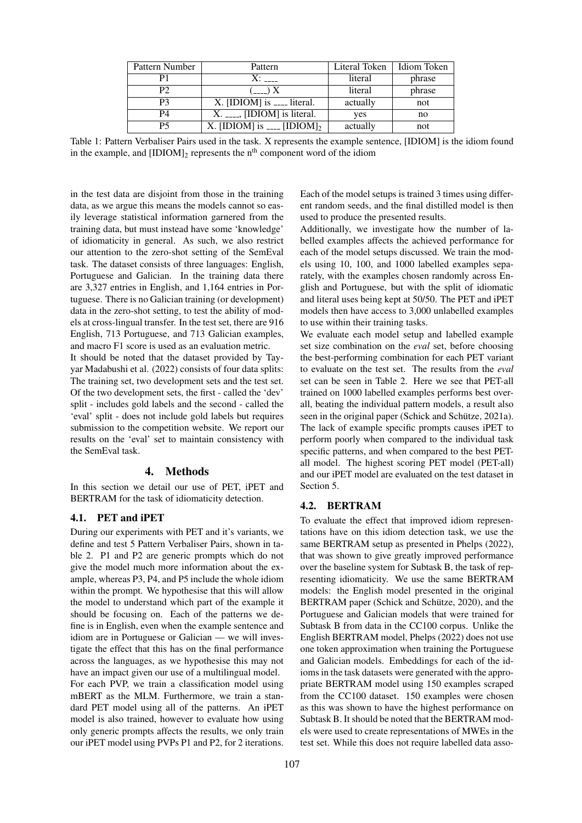| Pattern Number | Pattern                                          | Literal Token | Idiom Token |  |
|----------------|--------------------------------------------------|---------------|-------------|--|
|                | $X^{\mathcal{L}}$                                | literal       | phrase      |  |
| P2             | $(\equiv -\equiv)$ X                             | literal       | phrase      |  |
| P3             |                                                  | actually      | not         |  |
| <b>P4</b>      | $X_{\cdot}$ [IDIOM] is literal.                  | yes           | no          |  |
| P5             | X. [IDIOM] is $\frac{1}{2}$ [IDIOM] <sub>2</sub> | actually      | not         |  |

Table 1: Pattern Verbaliser Pairs used in the task. X represents the example sentence, [IDIOM] is the idiom found in the example, and  $[IDIOM]_2$  represents the n<sup>th</sup> component word of the idiom

in the test data are disjoint from those in the training data, as we argue this means the models cannot so easily leverage statistical information garnered from the training data, but must instead have some 'knowledge' of idiomaticity in general. As such, we also restrict our attention to the zero-shot setting of the SemEval task. The dataset consists of three languages: English, Portuguese and Galician. In the training data there are 3,327 entries in English, and 1,164 entries in Portuguese. There is no Galician training (or development) data in the zero-shot setting, to test the ability of models at cross-lingual transfer. In the test set, there are 916 English, 713 Portuguese, and 713 Galician examples, and macro F1 score is used as an evaluation metric.

It should be noted that the dataset provided by [Tay](#page-5-11)[yar Madabushi et al. \(2022\)](#page-5-11) consists of four data splits: The training set, two development sets and the test set. Of the two development sets, the first - called the 'dev' split - includes gold labels and the second - called the 'eval' split - does not include gold labels but requires submission to the competition website. We report our results on the 'eval' set to maintain consistency with the SemEval task.

#### 4. Methods

<span id="page-2-0"></span>In this section we detail our use of PET, iPET and BERTRAM for the task of idiomaticity detection.

## 4.1. PET and iPET

During our experiments with PET and it's variants, we define and test 5 Pattern Verbaliser Pairs, shown in table [2.](#page-1-0) P1 and P2 are generic prompts which do not give the model much more information about the example, whereas P3, P4, and P5 include the whole idiom within the prompt. We hypothesise that this will allow the model to understand which part of the example it should be focusing on. Each of the patterns we define is in English, even when the example sentence and idiom are in Portuguese or Galician — we will investigate the effect that this has on the final performance across the languages, as we hypothesise this may not have an impact given our use of a multilingual model. For each PVP, we train a classification model using mBERT as the MLM. Furthermore, we train a standard PET model using all of the patterns. An iPET model is also trained, however to evaluate how using only generic prompts affects the results, we only train our iPET model using PVPs P1 and P2, for 2 iterations.

Each of the model setups is trained 3 times using different random seeds, and the final distilled model is then used to produce the presented results.

Additionally, we investigate how the number of labelled examples affects the achieved performance for each of the model setups discussed. We train the models using 10, 100, and 1000 labelled examples separately, with the examples chosen randomly across English and Portuguese, but with the split of idiomatic and literal uses being kept at 50/50. The PET and iPET models then have access to 3,000 unlabelled examples to use within their training tasks.

We evaluate each model setup and labelled example set size combination on the *eval* set, before choosing the best-performing combination for each PET variant to evaluate on the test set. The results from the *eval* set can be seen in Table [2.](#page-3-0) Here we see that PET-all trained on 1000 labelled examples performs best overall, beating the individual pattern models, a result also seen in the original paper (Schick and Schütze, 2021a). The lack of example specific prompts causes iPET to perform poorly when compared to the individual task specific patterns, and when compared to the best PETall model. The highest scoring PET model (PET-all) and our iPET model are evaluated on the test dataset in Section [5.](#page-4-1)

#### 4.2. BERTRAM

To evaluate the effect that improved idiom representations have on this idiom detection task, we use the same BERTRAM setup as presented in [Phelps \(2022\)](#page-5-10), that was shown to give greatly improved performance over the baseline system for Subtask B, the task of representing idiomaticity. We use the same BERTRAM models: the English model presented in the original BERTRAM paper (Schick and Schütze, 2020), and the Portuguese and Galician models that were trained for Subtask B from data in the CC100 corpus. Unlike the English BERTRAM model, [Phelps \(2022\)](#page-5-10) does not use one token approximation when training the Portuguese and Galician models. Embeddings for each of the idioms in the task datasets were generated with the appropriate BERTRAM model using 150 examples scraped from the CC100 dataset. 150 examples were chosen as this was shown to have the highest performance on Subtask B. It should be noted that the BERTRAM models were used to create representations of MWEs in the test set. While this does not require labelled data asso-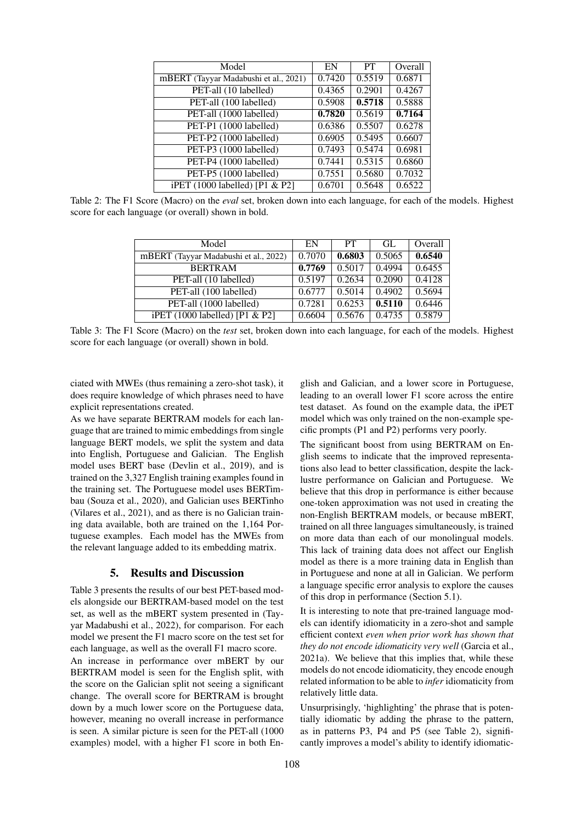| Model                                 | EN     | <b>PT</b> | Overall |
|---------------------------------------|--------|-----------|---------|
| mBERT (Tayyar Madabushi et al., 2021) | 0.7420 | 0.5519    | 0.6871  |
| PET-all (10 labelled)                 | 0.4365 | 0.2901    | 0.4267  |
| PET-all (100 labelled)                | 0.5908 | 0.5718    | 0.5888  |
| PET-all (1000 labelled)               | 0.7820 | 0.5619    | 0.7164  |
| PET-P1 (1000 labelled)                | 0.6386 | 0.5507    | 0.6278  |
| PET-P2 (1000 labelled)                | 0.6905 | 0.5495    | 0.6607  |
| PET-P3 (1000 labelled)                | 0.7493 | 0.5474    | 0.6981  |
| PET-P4 (1000 labelled)                | 0.7441 | 0.5315    | 0.6860  |
| PET-P5 (1000 labelled)                | 0.7551 | 0.5680    | 0.7032  |
| $i$ PET (1000 labelled) [P1 & P2]     | 0.6701 | 0.5648    | 0.6522  |

<span id="page-3-0"></span>Table 2: The F1 Score (Macro) on the *eval* set, broken down into each language, for each of the models. Highest score for each language (or overall) shown in bold.

| Model                                 | EN     | PT.    | GL     | Overall |
|---------------------------------------|--------|--------|--------|---------|
| mBERT (Tayyar Madabushi et al., 2022) | 0.7070 | 0.6803 | 0.5065 | 0.6540  |
| <b>BERTRAM</b>                        | 0.7769 | 0.5017 | 0.4994 | 0.6455  |
| PET-all (10 labelled)                 | 0.5197 | 0.2634 | 0.2090 | 0.4128  |
| PET-all (100 labelled)                | 0.6777 | 0.5014 | 0.4902 | 0.5694  |
| PET-all (1000 labelled)               | 0.7281 | 0.6253 | 0.5110 | 0.6446  |
| iPET $(1000$ labelled) [P1 & P2]      | 0.6604 | 0.5676 | 0.4735 | 0.5879  |

<span id="page-3-1"></span>Table 3: The F1 Score (Macro) on the *test* set, broken down into each language, for each of the models. Highest score for each language (or overall) shown in bold.

ciated with MWEs (thus remaining a zero-shot task), it does require knowledge of which phrases need to have explicit representations created.

As we have separate BERTRAM models for each language that are trained to mimic embeddings from single language BERT models, we split the system and data into English, Portuguese and Galician. The English model uses BERT base [\(Devlin et al., 2019\)](#page-5-8), and is trained on the 3,327 English training examples found in the training set. The Portuguese model uses BERTimbau [\(Souza et al., 2020\)](#page-5-18), and Galician uses BERTinho [\(Vilares et al., 2021\)](#page-6-1), and as there is no Galician training data available, both are trained on the 1,164 Portuguese examples. Each model has the MWEs from the relevant language added to its embedding matrix.

#### 5. Results and Discussion

Table [3](#page-3-1) presents the results of our best PET-based models alongside our BERTRAM-based model on the test set, as well as the mBERT system presented in [\(Tay](#page-5-11)[yar Madabushi et al., 2022\)](#page-5-11), for comparison. For each model we present the F1 macro score on the test set for each language, as well as the overall F1 macro score. An increase in performance over mBERT by our BERTRAM model is seen for the English split, with the score on the Galician split not seeing a significant change. The overall score for BERTRAM is brought down by a much lower score on the Portuguese data, however, meaning no overall increase in performance is seen. A similar picture is seen for the PET-all (1000 examples) model, with a higher F1 score in both En-

glish and Galician, and a lower score in Portuguese, leading to an overall lower F1 score across the entire test dataset. As found on the example data, the iPET model which was only trained on the non-example specific prompts (P1 and P2) performs very poorly.

The significant boost from using BERTRAM on English seems to indicate that the improved representations also lead to better classification, despite the lacklustre performance on Galician and Portuguese. We believe that this drop in performance is either because one-token approximation was not used in creating the non-English BERTRAM models, or because mBERT, trained on all three languages simultaneously, is trained on more data than each of our monolingual models. This lack of training data does not affect our English model as there is a more training data in English than in Portuguese and none at all in Galician. We perform a language specific error analysis to explore the causes of this drop in performance (Section [5.1\)](#page-4-0).

It is interesting to note that pre-trained language models can identify idiomaticity in a zero-shot and sample efficient context *even when prior work has shown that they do not encode idiomaticity very well* [\(Garcia et al.,](#page-5-19) [2021a\)](#page-5-19). We believe that this implies that, while these models do not encode idiomaticity, they encode enough related information to be able to *infer* idiomaticity from relatively little data.

Unsurprisingly, 'highlighting' the phrase that is potentially idiomatic by adding the phrase to the pattern, as in patterns P3, P4 and P5 (see Table [2\)](#page-1-0), significantly improves a model's ability to identify idiomatic-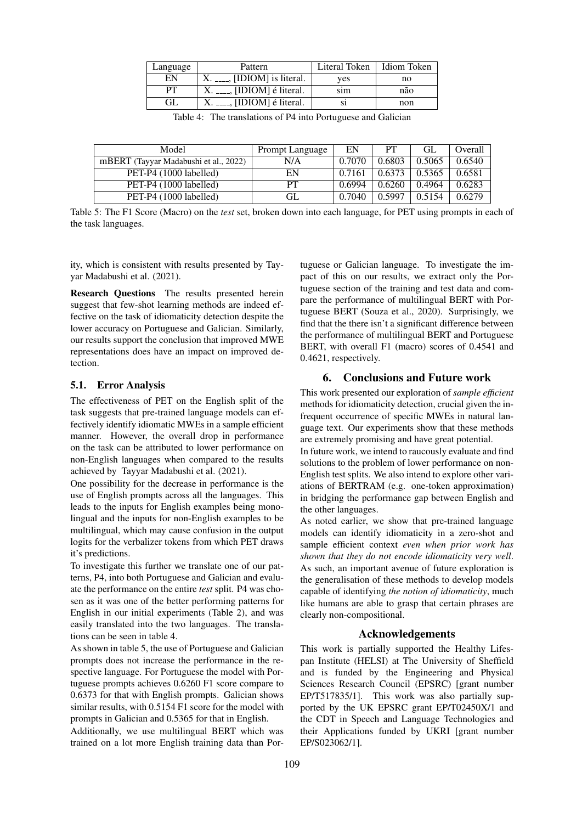| Language | Pattern                                      | Literal Token | <b>Idiom Token</b> |
|----------|----------------------------------------------|---------------|--------------------|
| EN       | $\overline{\phantom{a}}$ [IDIOM] is literal. | ves           | no                 |
| PТ       | $X_{t} = 1$ [IDIOM] é literal.               | sim           | não                |
| GL.      | $X_{t-}$ , [IDIOM] é literal.                |               | non                |

<span id="page-4-3"></span>Table 4: The translations of P4 into Portuguese and Galician

| Model                                 | Prompt Language | EN     | PТ     | GL     | Overall |
|---------------------------------------|-----------------|--------|--------|--------|---------|
| mBERT (Tayyar Madabushi et al., 2022) | N/A             | 0.7070 | 0.6803 | 0.5065 | 0.6540  |
| PET-P4 (1000 labelled)                | EN              | 0.7161 | 0.6373 | 0.5365 | 0.6581  |
| PET-P4 (1000 labelled)                | PT              | 0.6994 | 0.6260 | 0.4964 | 0.6283  |
| PET-P4 (1000 labelled)                | GL              | 0.7040 | 0.5997 | 0.5154 | 0.6279  |

<span id="page-4-1"></span>Table 5: The F1 Score (Macro) on the *test* set, broken down into each language, for PET using prompts in each of the task languages.

ity, which is consistent with results presented by [Tay](#page-5-17)[yar Madabushi et al. \(2021\)](#page-5-17).

Research Questions The results presented herein suggest that few-shot learning methods are indeed effective on the task of idiomaticity detection despite the lower accuracy on Portuguese and Galician. Similarly, our results support the conclusion that improved MWE representations does have an impact on improved detection.

#### <span id="page-4-0"></span>5.1. Error Analysis

The effectiveness of PET on the English split of the task suggests that pre-trained language models can effectively identify idiomatic MWEs in a sample efficient manner. However, the overall drop in performance on the task can be attributed to lower performance on non-English languages when compared to the results achieved by [Tayyar Madabushi et al. \(2021\)](#page-5-17).

One possibility for the decrease in performance is the use of English prompts across all the languages. This leads to the inputs for English examples being monolingual and the inputs for non-English examples to be multilingual, which may cause confusion in the output logits for the verbalizer tokens from which PET draws it's predictions.

To investigate this further we translate one of our patterns, P4, into both Portuguese and Galician and evaluate the performance on the entire *test* split. P4 was chosen as it was one of the better performing patterns for English in our initial experiments (Table [2\)](#page-3-0), and was easily translated into the two languages. The translations can be seen in table [4.](#page-4-3)

As shown in table [5,](#page-4-1) the use of Portuguese and Galician prompts does not increase the performance in the respective language. For Portuguese the model with Portuguese prompts achieves 0.6260 F1 score compare to 0.6373 for that with English prompts. Galician shows similar results, with 0.5154 F1 score for the model with prompts in Galician and 0.5365 for that in English.

Additionally, we use multilingual BERT which was trained on a lot more English training data than Portuguese or Galician language. To investigate the impact of this on our results, we extract only the Portuguese section of the training and test data and compare the performance of multilingual BERT with Portuguese BERT [\(Souza et al., 2020\)](#page-5-18). Surprisingly, we find that the there isn't a significant difference between the performance of multilingual BERT and Portuguese BERT, with overall F1 (macro) scores of 0.4541 and 0.4621, respectively.

### 6. Conclusions and Future work

<span id="page-4-2"></span>This work presented our exploration of *sample efficient* methods for idiomaticity detection, crucial given the infrequent occurrence of specific MWEs in natural language text. Our experiments show that these methods are extremely promising and have great potential.

In future work, we intend to raucously evaluate and find solutions to the problem of lower performance on non-English test splits. We also intend to explore other variations of BERTRAM (e.g. one-token approximation) in bridging the performance gap between English and the other languages.

As noted earlier, we show that pre-trained language models can identify idiomaticity in a zero-shot and sample efficient context *even when prior work has shown that they do not encode idiomaticity very well*. As such, an important avenue of future exploration is the generalisation of these methods to develop models capable of identifying *the notion of idiomaticity*, much like humans are able to grasp that certain phrases are clearly non-compositional.

#### Acknowledgements

This work is partially supported the Healthy Lifespan Institute (HELSI) at The University of Sheffield and is funded by the Engineering and Physical Sciences Research Council (EPSRC) [grant number EP/T517835/1]. This work was also partially supported by the UK EPSRC grant EP/T02450X/1 and the CDT in Speech and Language Technologies and their Applications funded by UKRI [grant number EP/S023062/1].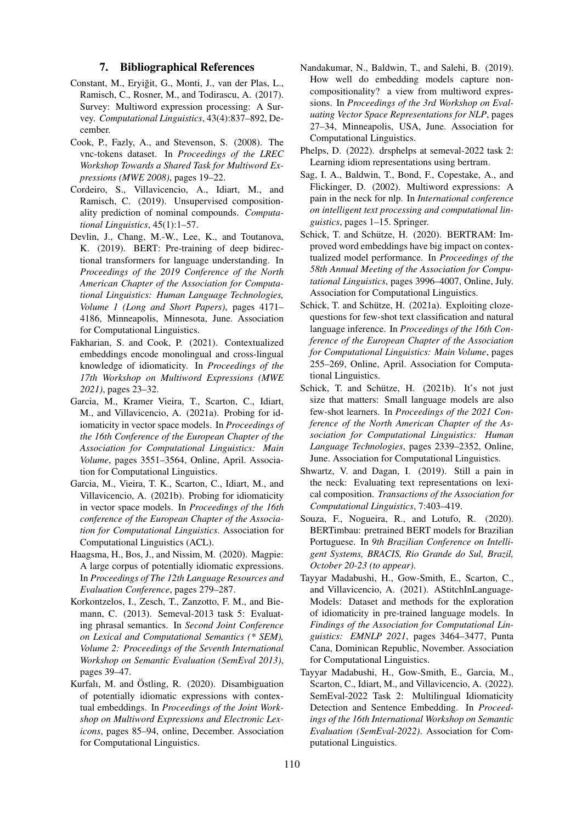#### 7. Bibliographical References

- <span id="page-5-9"></span>Constant, M., Eryiğit, G., Monti, J., van der Plas, L., Ramisch, C., Rosner, M., and Todirascu, A. (2017). Survey: Multiword expression processing: A Survey. *Computational Linguistics*, 43(4):837–892, December.
- <span id="page-5-14"></span>Cook, P., Fazly, A., and Stevenson, S. (2008). The vnc-tokens dataset. In *Proceedings of the LREC Workshop Towards a Shared Task for Multiword Expressions (MWE 2008)*, pages 19–22.
- <span id="page-5-15"></span>Cordeiro, S., Villavicencio, A., Idiart, M., and Ramisch, C. (2019). Unsupervised compositionality prediction of nominal compounds. *Computational Linguistics*, 45(1):1–57.
- <span id="page-5-8"></span>Devlin, J., Chang, M.-W., Lee, K., and Toutanova, K. (2019). BERT: Pre-training of deep bidirectional transformers for language understanding. In *Proceedings of the 2019 Conference of the North American Chapter of the Association for Computational Linguistics: Human Language Technologies, Volume 1 (Long and Short Papers)*, pages 4171– 4186, Minneapolis, Minnesota, June. Association for Computational Linguistics.
- <span id="page-5-3"></span>Fakharian, S. and Cook, P. (2021). Contextualized embeddings encode monolingual and cross-lingual knowledge of idiomaticity. In *Proceedings of the 17th Workshop on Multiword Expressions (MWE 2021)*, pages 23–32.
- <span id="page-5-19"></span>Garcia, M., Kramer Vieira, T., Scarton, C., Idiart, M., and Villavicencio, A. (2021a). Probing for idiomaticity in vector space models. In *Proceedings of the 16th Conference of the European Chapter of the Association for Computational Linguistics: Main Volume*, pages 3551–3564, Online, April. Association for Computational Linguistics.
- <span id="page-5-1"></span>Garcia, M., Vieira, T. K., Scarton, C., Idiart, M., and Villavicencio, A. (2021b). Probing for idiomaticity in vector space models. In *Proceedings of the 16th conference of the European Chapter of the Association for Computational Linguistics*. Association for Computational Linguistics (ACL).
- <span id="page-5-12"></span>Haagsma, H., Bos, J., and Nissim, M. (2020). Magpie: A large corpus of potentially idiomatic expressions. In *Proceedings of The 12th Language Resources and Evaluation Conference*, pages 279–287.
- <span id="page-5-13"></span>Korkontzelos, I., Zesch, T., Zanzotto, F. M., and Biemann, C. (2013). Semeval-2013 task 5: Evaluating phrasal semantics. In *Second Joint Conference on Lexical and Computational Semantics (\* SEM), Volume 2: Proceedings of the Seventh International Workshop on Semantic Evaluation (SemEval 2013)*, pages 39–47.
- <span id="page-5-4"></span>Kurfalı, M. and Östling, R. (2020). Disambiguation of potentially idiomatic expressions with contextual embeddings. In *Proceedings of the Joint Workshop on Multiword Expressions and Electronic Lexicons*, pages 85–94, online, December. Association for Computational Linguistics.
- <span id="page-5-2"></span>Nandakumar, N., Baldwin, T., and Salehi, B. (2019). How well do embedding models capture noncompositionality? a view from multiword expressions. In *Proceedings of the 3rd Workshop on Evaluating Vector Space Representations for NLP*, pages 27–34, Minneapolis, USA, June. Association for Computational Linguistics.
- <span id="page-5-10"></span>Phelps, D. (2022). drsphelps at semeval-2022 task 2: Learning idiom representations using bertram.
- <span id="page-5-0"></span>Sag, I. A., Baldwin, T., Bond, F., Copestake, A., and Flickinger, D. (2002). Multiword expressions: A pain in the neck for nlp. In *International conference on intelligent text processing and computational linguistics*, pages 1–15. Springer.
- <span id="page-5-7"></span>Schick, T. and Schütze, H. (2020). BERTRAM: Improved word embeddings have big impact on contextualized model performance. In *Proceedings of the 58th Annual Meeting of the Association for Computational Linguistics*, pages 3996–4007, Online, July. Association for Computational Linguistics.
- <span id="page-5-5"></span>Schick, T. and Schütze, H. (2021a). Exploiting clozequestions for few-shot text classification and natural language inference. In *Proceedings of the 16th Conference of the European Chapter of the Association for Computational Linguistics: Main Volume*, pages 255–269, Online, April. Association for Computational Linguistics.
- <span id="page-5-6"></span>Schick, T. and Schütze, H. (2021b). It's not just size that matters: Small language models are also few-shot learners. In *Proceedings of the 2021 Conference of the North American Chapter of the Association for Computational Linguistics: Human Language Technologies*, pages 2339–2352, Online, June. Association for Computational Linguistics.
- <span id="page-5-16"></span>Shwartz, V. and Dagan, I. (2019). Still a pain in the neck: Evaluating text representations on lexical composition. *Transactions of the Association for Computational Linguistics*, 7:403–419.
- <span id="page-5-18"></span>Souza, F., Nogueira, R., and Lotufo, R. (2020). BERTimbau: pretrained BERT models for Brazilian Portuguese. In *9th Brazilian Conference on Intelligent Systems, BRACIS, Rio Grande do Sul, Brazil, October 20-23 (to appear)*.
- <span id="page-5-17"></span>Tayyar Madabushi, H., Gow-Smith, E., Scarton, C., and Villavicencio, A. (2021). AStitchInLanguage-Models: Dataset and methods for the exploration of idiomaticity in pre-trained language models. In *Findings of the Association for Computational Linguistics: EMNLP 2021*, pages 3464–3477, Punta Cana, Dominican Republic, November. Association for Computational Linguistics.
- <span id="page-5-11"></span>Tayyar Madabushi, H., Gow-Smith, E., Garcia, M., Scarton, C., Idiart, M., and Villavicencio, A. (2022). SemEval-2022 Task 2: Multilingual Idiomaticity Detection and Sentence Embedding. In *Proceedings of the 16th International Workshop on Semantic Evaluation (SemEval-2022)*. Association for Computational Linguistics.